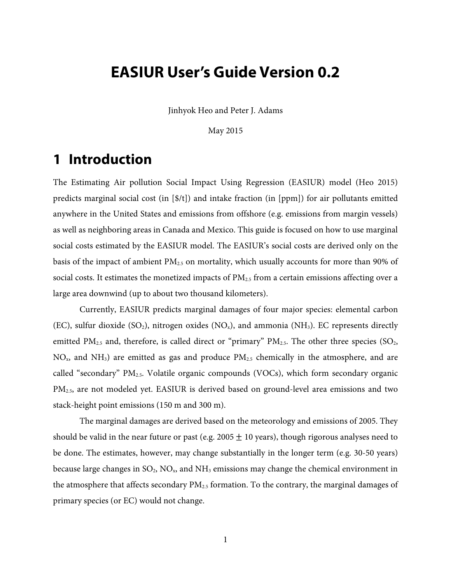# **EASIUR User's Guide Version 0.2**

Jinhyok Heo and Peter J. Adams

May 2015

# **1 Introduction**

The Estimating Air pollution Social Impact Using Regression (EASIUR) model (Heo 2015) predicts marginal social cost (in [\$/t]) and intake fraction (in [ppm]) for air pollutants emitted anywhere in the United States and emissions from offshore (e.g. emissions from margin vessels) as well as neighboring areas in Canada and Mexico. This guide is focused on how to use marginal social costs estimated by the EASIUR model. The EASIUR's social costs are derived only on the basis of the impact of ambient PM2.5 on mortality, which usually accounts for more than 90% of social costs. It estimates the monetized impacts of  $PM_{2.5}$  from a certain emissions affecting over a large area downwind (up to about two thousand kilometers).

Currently, EASIUR predicts marginal damages of four major species: elemental carbon (EC), sulfur dioxide (SO<sub>2</sub>), nitrogen oxides (NO<sub>x</sub>), and ammonia (NH<sub>3</sub>). EC represents directly emitted  $PM<sub>2.5</sub>$  and, therefore, is called direct or "primary"  $PM<sub>2.5</sub>$ . The other three species (SO<sub>2</sub>,  $NO<sub>x</sub>$ , and  $NH<sub>3</sub>$ ) are emitted as gas and produce  $PM<sub>2.5</sub>$  chemically in the atmosphere, and are called "secondary"  $PM_{2.5}$ . Volatile organic compounds (VOCs), which form secondary organic PM2.5, are not modeled yet. EASIUR is derived based on ground-level area emissions and two stack-height point emissions (150 m and 300 m).

The marginal damages are derived based on the meteorology and emissions of 2005. They should be valid in the near future or past (e.g. 2005  $\pm$  10 years), though rigorous analyses need to be done. The estimates, however, may change substantially in the longer term (e.g. 30-50 years) because large changes in  $SO_2$ ,  $NO_x$ , and  $NH_3$  emissions may change the chemical environment in the atmosphere that affects secondary  $PM_{2.5}$  formation. To the contrary, the marginal damages of primary species (or EC) would not change.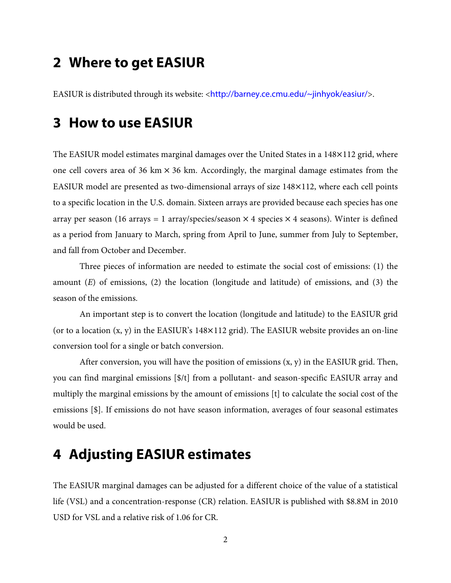# **2 Where to get EASIUR**

EASIUR is distributed through its website: <http://barney.ce.cmu.edu/~jinhyok/easiur/>.

### **3 How to use EASIUR**

The EASIUR model estimates marginal damages over the United States in a 148×112 grid, where one cell covers area of 36 km  $\times$  36 km. Accordingly, the marginal damage estimates from the EASIUR model are presented as two-dimensional arrays of size 148×112, where each cell points to a specific location in the U.S. domain. Sixteen arrays are provided because each species has one array per season (16 arrays = 1 array/species/season  $\times$  4 species  $\times$  4 seasons). Winter is defined as a period from January to March, spring from April to June, summer from July to September, and fall from October and December.

Three pieces of information are needed to estimate the social cost of emissions: (1) the amount (*E*) of emissions, (2) the location (longitude and latitude) of emissions, and (3) the season of the emissions.

An important step is to convert the location (longitude and latitude) to the EASIUR grid (or to a location  $(x, y)$  in the EASIUR's 148 $\times$ 112 grid). The EASIUR website provides an on-line conversion tool for a single or batch conversion.

After conversion, you will have the position of emissions  $(x, y)$  in the EASIUR grid. Then, you can find marginal emissions [\$/t] from a pollutant- and season-specific EASIUR array and multiply the marginal emissions by the amount of emissions [t] to calculate the social cost of the emissions [\$]. If emissions do not have season information, averages of four seasonal estimates would be used.

## **4 Adjusting EASIUR estimates**

The EASIUR marginal damages can be adjusted for a different choice of the value of a statistical life (VSL) and a concentration-response (CR) relation. EASIUR is published with \$8.8M in 2010 USD for VSL and a relative risk of 1.06 for CR.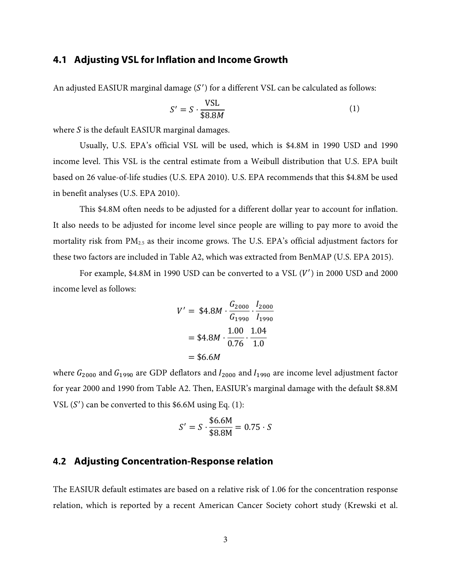#### **4.1 Adjusting VSL for Inflation and Income Growth**

An adjusted EASIUR marginal damage  $(S')$  for a different VSL can be calculated as follows:

$$
S' = S \cdot \frac{\text{VSL}}{\$8.8M} \tag{1}
$$

where  $S$  is the default EASIUR marginal damages.

Usually, U.S. EPA's official VSL will be used, which is \$4.8M in 1990 USD and 1990 income level. This VSL is the central estimate from a Weibull distribution that U.S. EPA built based on 26 value-of-life studies (U.S. EPA 2010). U.S. EPA recommends that this \$4.8M be used in benefit analyses (U.S. EPA 2010).

This \$4.8M often needs to be adjusted for a different dollar year to account for inflation. It also needs to be adjusted for income level since people are willing to pay more to avoid the mortality risk from PM<sub>2.5</sub> as their income grows. The U.S. EPA's official adjustment factors for these two factors are included in Table A2, which was extracted from BenMAP (U.S. EPA 2015).

For example, \$4.8M in 1990 USD can be converted to a VSL  $(V')$  in 2000 USD and 2000 income level as follows:

$$
V' = $4.8M \cdot \frac{G_{2000}}{G_{1990}} \cdot \frac{I_{2000}}{I_{1990}}
$$

$$
= $4.8M \cdot \frac{1.00}{0.76} \cdot \frac{1.04}{1.0}
$$

$$
= $6.6M
$$

where  $G_{2000}$  and  $G_{1990}$  are GDP deflators and  $I_{2000}$  and  $I_{1990}$  are income level adjustment factor for year 2000 and 1990 from Table A2. Then, EASIUR's marginal damage with the default \$8.8M VSL  $(S')$  can be converted to this \$6.6M using Eq.  $(1)$ :

$$
S' = S \cdot \frac{\$6.6M}{\$8.8M} = 0.75 \cdot S
$$

### **4.2 Adjusting Concentration-Response relation**

The EASIUR default estimates are based on a relative risk of 1.06 for the concentration response relation, which is reported by a recent American Cancer Society cohort study (Krewski et al.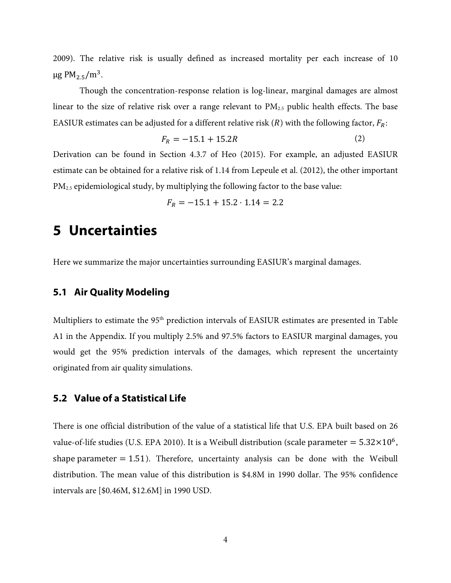2009). The relative risk is usually defined as increased mortality per each increase of 10  $\mu$ g PM<sub>2.5</sub>/m<sup>3</sup>.

Though the concentration-response relation is log-linear, marginal damages are almost linear to the size of relative risk over a range relevant to  $PM_{2.5}$  public health effects. The base EASIUR estimates can be adjusted for a different relative risk (R) with the following factor,  $F_R$ :

$$
F_R = -15.1 + 15.2R\tag{2}
$$

Derivation can be found in Section 4.3.7 of Heo (2015). For example, an adjusted EASIUR estimate can be obtained for a relative risk of 1.14 from Lepeule et al. (2012), the other important PM2.5 epidemiological study, by multiplying the following factor to the base value:

$$
F_R = -15.1 + 15.2 \cdot 1.14 = 2.2
$$

### **5 Uncertainties**

Here we summarize the major uncertainties surrounding EASIUR's marginal damages.

### **5.1 Air Quality Modeling**

Multipliers to estimate the 95<sup>th</sup> prediction intervals of EASIUR estimates are presented in Table A1 in the Appendix. If you multiply 2.5% and 97.5% factors to EASIUR marginal damages, you would get the 95% prediction intervals of the damages, which represent the uncertainty originated from air quality simulations.

#### **5.2 Value of a Statistical Life**

There is one official distribution of the value of a statistical life that U.S. EPA built based on 26 value-of-life studies (U.S. EPA 2010). It is a Weibull distribution (scale parameter =  $5.32 \times 10^6$ , shape parameter  $= 1.51$ ). Therefore, uncertainty analysis can be done with the Weibull distribution. The mean value of this distribution is \$4.8M in 1990 dollar. The 95% confidence intervals are [\$0.46M, \$12.6M] in 1990 USD.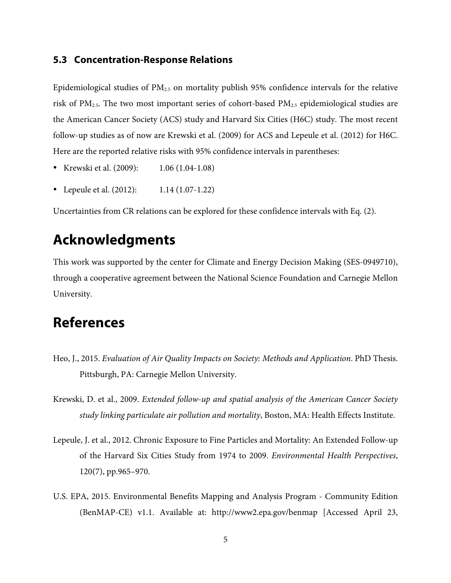#### **5.3 Concentration-Response Relations**

Epidemiological studies of  $PM<sub>2.5</sub>$  on mortality publish 95% confidence intervals for the relative risk of  $PM_{2.5}$ . The two most important series of cohort-based  $PM_{2.5}$  epidemiological studies are the American Cancer Society (ACS) study and Harvard Six Cities (H6C) study. The most recent follow-up studies as of now are Krewski et al. (2009) for ACS and Lepeule et al. (2012) for H6C. Here are the reported relative risks with 95% confidence intervals in parentheses:

- Krewski et al. (2009): 1.06 (1.04-1.08)
- Lepeule et al. (2012): 1.14 (1.07-1.22)

Uncertainties from CR relations can be explored for these confidence intervals with Eq. (2).

# **Acknowledgments**

This work was supported by the center for Climate and Energy Decision Making (SES-0949710), through a cooperative agreement between the National Science Foundation and Carnegie Mellon University.

## **References**

- Heo, J., 2015. *Evaluation of Air Quality Impacts on Society: Methods and Application*. PhD Thesis. Pittsburgh, PA: Carnegie Mellon University.
- Krewski, D. et al., 2009. *Extended follow-up and spatial analysis of the American Cancer Society study linking particulate air pollution and mortality*, Boston, MA: Health Effects Institute.
- Lepeule, J. et al., 2012. Chronic Exposure to Fine Particles and Mortality: An Extended Follow-up of the Harvard Six Cities Study from 1974 to 2009. *Environmental Health Perspectives*, 120(7), pp.965–970.
- U.S. EPA, 2015. Environmental Benefits Mapping and Analysis Program Community Edition (BenMAP-CE) v1.1. Available at: http://www2.epa.gov/benmap [Accessed April 23,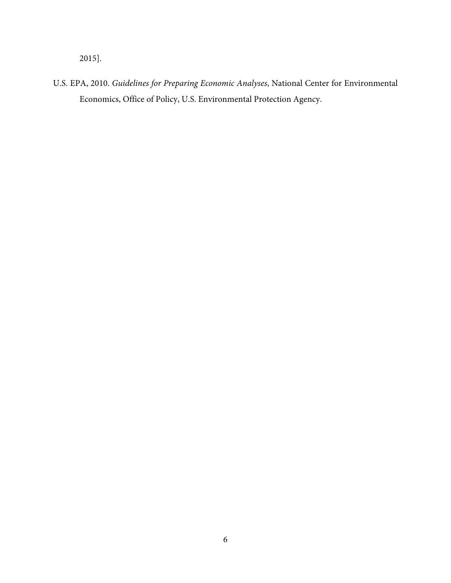2015].

U.S. EPA, 2010. *Guidelines for Preparing Economic Analyses*, National Center for Environmental Economics, Office of Policy, U.S. Environmental Protection Agency.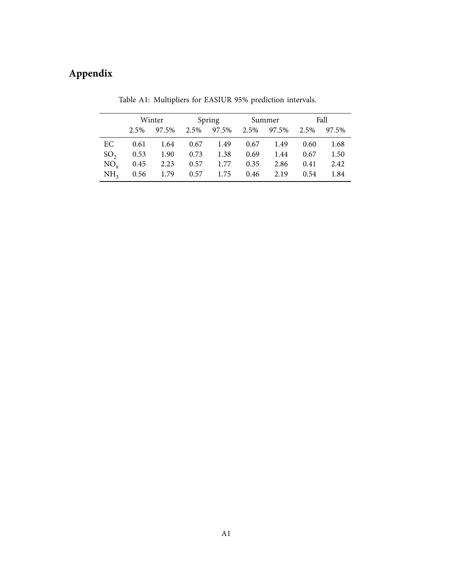# **Appendix**

|                 | Winter |                                     | Spring |                                    | Summer |      | Fall |      |
|-----------------|--------|-------------------------------------|--------|------------------------------------|--------|------|------|------|
|                 |        | 2.5% 97.5%                          |        | 2.5% 97.5% 2.5% 97.5% 2.5% 97.5%   |        |      |      |      |
| EC              | 0.61   |                                     |        | $1.64$ $0.67$ $1.49$ $0.67$ $1.49$ |        |      | 0.60 | 1.68 |
| SO <sub>2</sub> |        | 0.53 1.90 0.73 1.38 0.69            |        |                                    |        | 1.44 | 0.67 | 1.50 |
| $NO_{\rm v}$    |        | $0.45$ 2.23                         |        | $0.57$ 1.77 0.35                   |        | 2.86 | 0.41 | 2.42 |
| NH <sub>3</sub> |        | $0.56$ 1.79 $0.57$ 1.75 $0.46$ 2.19 |        |                                    |        |      | 0.54 | 1.84 |

Table A1: Multipliers for EASIUR 95% prediction intervals.